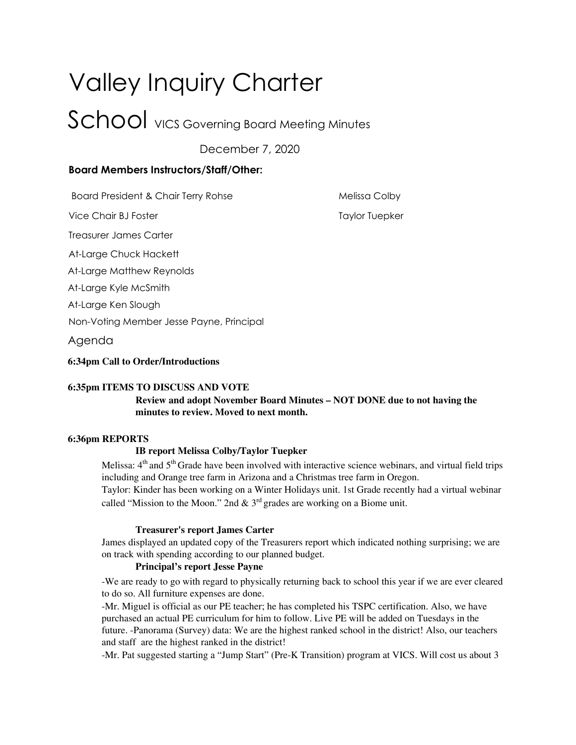# Valley Inquiry Charter School vics Governing Board Meeting Minutes

December 7, 2020

# **Board Members Instructors/Staff/Other:**

Board President & Chair Terry Rohse Melissa Colby

Vice Chair BJ Foster Taylor Tuepker Taylor Tuepker

Treasurer James Carter

At-Large Chuck Hackett

At-Large Matthew Reynolds

At-Large Kyle McSmith

At-Large Ken Slough

Non-Voting Member Jesse Payne, Principal

Agenda

#### **6:34pm Call to Order/Introductions**

# **6:35pm ITEMS TO DISCUSS AND VOTE**

# **Review and adopt November Board Minutes – NOT DONE due to not having the minutes to review. Moved to next month.**

# **6:36pm REPORTS**

# **IB report Melissa Colby/Taylor Tuepker**

Melissa: 4<sup>th</sup> and 5<sup>th</sup> Grade have been involved with interactive science webinars, and virtual field trips including and Orange tree farm in Arizona and a Christmas tree farm in Oregon.

Taylor: Kinder has been working on a Winter Holidays unit. 1st Grade recently had a virtual webinar called "Mission to the Moon." 2nd  $\&$  3<sup>rd</sup> grades are working on a Biome unit.

#### **Treasurer's report James Carter**

James displayed an updated copy of the Treasurers report which indicated nothing surprising; we are on track with spending according to our planned budget.

# **Principal's report Jesse Payne**

-We are ready to go with regard to physically returning back to school this year if we are ever cleared to do so. All furniture expenses are done.

-Mr. Miguel is official as our PE teacher; he has completed his TSPC certification. Also, we have purchased an actual PE curriculum for him to follow. Live PE will be added on Tuesdays in the future. -Panorama (Survey) data: We are the highest ranked school in the district! Also, our teachers and staff are the highest ranked in the district!

-Mr. Pat suggested starting a "Jump Start" (Pre-K Transition) program at VICS. Will cost us about 3